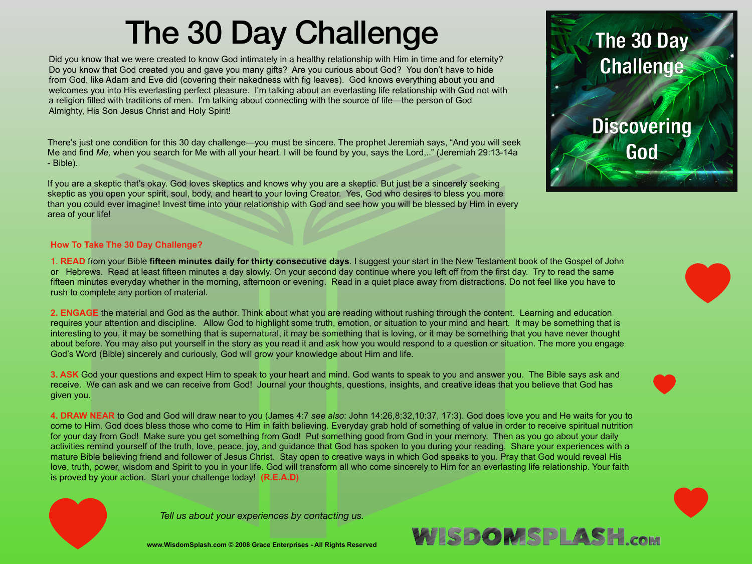## The 30 Day Challenge

Did you know that we were created to know God intimately in a healthy relationship with Him in time and for eternity? Do you know that God created you and gave you many gifts? Are you curious about God? You don't have to hide from God, like Adam and Eve did (covering their nakedness with fig leaves). God knows everything about you and welcomes you into His everlasting perfect pleasure. I'm talking about an everlasting life relationship with God not with a religion filled with traditions of men. I'm talking about connecting with the source of life—the person of God Almighty, His Son Jesus Christ and Holy Spirit!

There's just one condition for this 30 day challenge—you must be sincere. The prophet Jeremiah says, "And you will seek Me and find *Me,* when you search for Me with all your heart. I will be found by you, says the Lord,.." (Jeremiah 29:13-14a - Bible).

If you are a skeptic that's okay. God loves skeptics and knows why you are a skeptic. But just be a sincerely seeking skeptic as you open your spirit, soul, body, and heart to your loving Creator. Yes, God who desires to bless you more than you could ever imagine! Invest time into your relationship with God and see how you will be blessed by Him in every area of your life!

## **How To Take The 30 Day Challenge?**

1. **READ** from your Bible **fifteen minutes daily for thirty consecutive days**. I suggest your start in the New Testament book of the Gospel of John or Hebrews. Read at least fifteen minutes a day slowly. On your second day continue where you left off from the first day. Try to read the same fifteen minutes everyday whether in the morning, afternoon or evening. Read in a quiet place away from distractions. Do not feel like you have to rush to complete any portion of material.

**2. ENGAGE** the material and God as the author. Think about what you are reading without rushing through the content. Learning and education requires your attention and discipline. Allow God to highlight some truth, emotion, or situation to your mind and heart. It may be something that is interesting to you, it may be something that is supernatural, it may be something that is loving, or it may be something that you have never thought about before. You may also put yourself in the story as you read it and ask how you would respond to a question or situation. The more you engage God's Word (Bible) sincerely and curiously, God will grow your knowledge about Him and life.

**3. ASK** God your questions and expect Him to speak to your heart and mind. God wants to speak to you and answer you. The Bible says ask and receive. We can ask and we can receive from God! Journal your thoughts, questions, insights, and creative ideas that you believe that God has given you.

**4. DRAW NEAR** to God and God will draw near to you (James 4:7 *see also*: John 14:26,8:32,10:37, 17:3). God does love you and He waits for you to come to Him. God does bless those who come to Him in faith believing. Everyday grab hold of something of value in order to receive spiritual nutrition for your day from God! Make sure you get something from God! Put something good from God in your memory. Then as you go about your daily activities remind yourself of the truth, love, peace, joy, and guidance that God has spoken to you during your reading. Share your experiences with a mature Bible believing friend and follower of Jesus Christ. Stay open to creative ways in which God speaks to you. Pray that God would reveal His love, truth, power, wisdom and Spirit to you in your life. God will transform all who come sincerely to Him for an everlasting life relationship. Your faith is proved by your action. Start your challenge today! **(R.E.A.D)**



*Tell us about your experiences by contacting us.* 

**www.WisdomSplash.com © 2008 Grace Enterprises - All Rights Reserved**



WISDOMSPLASH.com